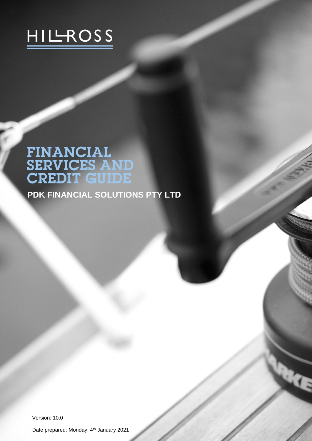

# **FINANCIAL<br>SERVICES AND<br>CREDIT GUIDE**

**PDK FINANCIAL SOLUTIONS PTY LTD**

Version: 10.0

Date prepared: Monday, 4<sup>th</sup> January 2021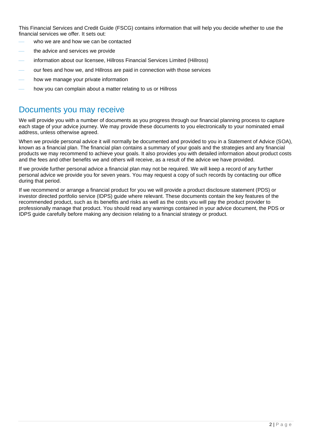This Financial Services and Credit Guide (FSCG) contains information that will help you decide whether to use the financial services we offer. It sets out:

- who we are and how we can be contacted
- the advice and services we provide
- information about our licensee, Hillross Financial Services Limited (Hillross)
- ⎯ our fees and how we, and Hillross are paid in connection with those services
- how we manage your private information
- how you can complain about a matter relating to us or Hillross

## Documents you may receive

We will provide you with a number of documents as you progress through our financial planning process to capture each stage of your advice journey. We may provide these documents to you electronically to your nominated email address, unless otherwise agreed.

When we provide personal advice it will normally be documented and provided to you in a Statement of Advice (SOA), known as a financial plan. The financial plan contains a summary of your goals and the strategies and any financial products we may recommend to achieve your goals. It also provides you with detailed information about product costs and the fees and other benefits we and others will receive, as a result of the advice we have provided.

If we provide further personal advice a financial plan may not be required. We will keep a record of any further personal advice we provide you for seven years. You may request a copy of such records by contacting our office during that period.

If we recommend or arrange a financial product for you we will provide a product disclosure statement (PDS) or investor directed portfolio service (IDPS) guide where relevant. These documents contain the key features of the recommended product, such as its benefits and risks as well as the costs you will pay the product provider to professionally manage that product. You should read any warnings contained in your advice document, the PDS or IDPS guide carefully before making any decision relating to a financial strategy or product.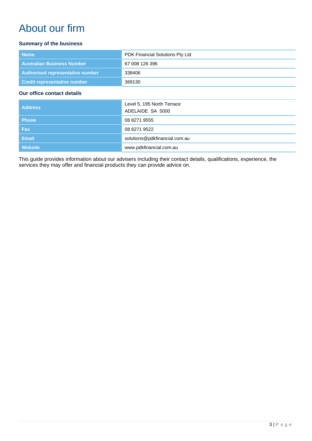# About our firm

#### **Summary of the business**

| <b>Name</b>                       | PDK Financial Solutions Pty Ltd |
|-----------------------------------|---------------------------------|
| <b>Australian Business Number</b> | 67 008 126 396                  |
| Authorised representative number  | 338406                          |
| Credit representative number      | 369130                          |

#### **Our office contact details**

| <b>Address</b> | Level 5, 195 North Terrace<br>ADELAIDE SA 5000 |
|----------------|------------------------------------------------|
| <b>Phone</b>   | 08 8271 9555                                   |
| <b>Fax</b>     | 08 8271 9522                                   |
| <b>Email</b>   | solutions@pdkfinancial.com.au                  |
| <b>Website</b> | www.pdkfinancial.com.au                        |

This guide provides information about our advisers including their contact details, qualifications, experience, the services they may offer and financial products they can provide advice on.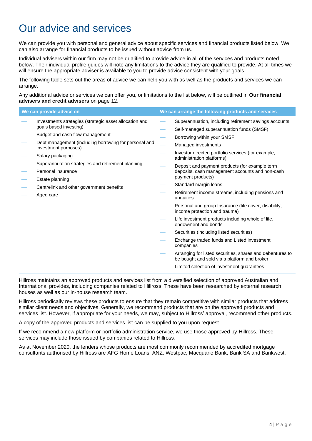# Our advice and services

We can provide you with personal and general advice about specific services and financial products listed below. We can also arrange for financial products to be issued without advice from us.

Individual advisers within our firm may not be qualified to provide advice in all of the services and products noted below. Their individual profile guides will note any limitations to the advice they are qualified to provide. At all times we will ensure the appropriate adviser is available to you to provide advice consistent with your goals.

The following table sets out the areas of advice we can help you with as well as the products and services we can arrange.

Any additional advice or services we can offer you, or limitations to the list below, will be outlined in **Our financial advisers and credit advisers** on page [12.](#page-11-0)

| We can provide advice on                                                                                                                                                                                                                                                                                                                                                        | We can arrange the following products and services                                                                                                                                                                                                                                                                                                                                                                                                                                                                                                                                                                                                                                                                                                                                                                                                                                                      |
|---------------------------------------------------------------------------------------------------------------------------------------------------------------------------------------------------------------------------------------------------------------------------------------------------------------------------------------------------------------------------------|---------------------------------------------------------------------------------------------------------------------------------------------------------------------------------------------------------------------------------------------------------------------------------------------------------------------------------------------------------------------------------------------------------------------------------------------------------------------------------------------------------------------------------------------------------------------------------------------------------------------------------------------------------------------------------------------------------------------------------------------------------------------------------------------------------------------------------------------------------------------------------------------------------|
| Investments strategies (strategic asset allocation and<br>goals based investing)<br>Budget and cash flow management<br>Debt management (including borrowing for personal and<br>investment purposes)<br>Salary packaging<br>Superannuation strategies and retirement planning<br>Personal insurance<br>Estate planning<br>Centrelink and other government benefits<br>Aged care | Superannuation, including retirement savings accounts<br>Self-managed superannuation funds (SMSF)<br>Borrowing within your SMSF<br>Managed investments<br>Investor directed portfolio services (for example,<br>administration platforms)<br>Deposit and payment products (for example term<br>deposits, cash management accounts and non-cash<br>payment products)<br>Standard margin loans<br>Retirement income streams, including pensions and<br>annuities<br>Personal and group Insurance (life cover, disability,<br>income protection and trauma)<br>Life investment products including whole of life,<br>endowment and bonds<br>Securities (including listed securities)<br>Exchange traded funds and Listed investment<br>companies<br>Arranging for listed securities, shares and debentures to<br>be bought and sold via a platform and broker<br>Limited selection of investment guarantees |
|                                                                                                                                                                                                                                                                                                                                                                                 |                                                                                                                                                                                                                                                                                                                                                                                                                                                                                                                                                                                                                                                                                                                                                                                                                                                                                                         |

Hillross maintains an approved products and services list from a diversified selection of approved Australian and International provides, including companies related to Hillross. These have been researched by external research houses as well as our in-house research team.

Hillross periodically reviews these products to ensure that they remain competitive with similar products that address similar client needs and objectives. Generally, we recommend products that are on the approved products and services list. However, if appropriate for your needs, we may, subject to Hillross' approval, recommend other products.

A copy of the approved products and services list can be supplied to you upon request.

If we recommend a new platform or portfolio administration service, we use those approved by Hillross. These services may include those issued by companies related to Hillross.

As at November 2020, the lenders whose products are most commonly recommended by accredited mortgage consultants authorised by Hillross are AFG Home Loans, ANZ, Westpac, Macquarie Bank, Bank SA and Bankwest.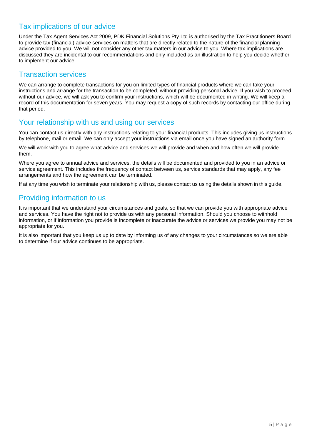## Tax implications of our advice

Under the Tax Agent Services Act 2009, PDK Financial Solutions Pty Ltd is authorised by the Tax Practitioners Board to provide tax (financial) advice services on matters that are directly related to the nature of the financial planning advice provided to you. We will not consider any other tax matters in our advice to you. Where tax implications are discussed they are incidental to our recommendations and only included as an illustration to help you decide whether to implement our advice.

### Transaction services

We can arrange to complete transactions for you on limited types of financial products where we can take your instructions and arrange for the transaction to be completed, without providing personal advice. If you wish to proceed without our advice, we will ask you to confirm your instructions, which will be documented in writing. We will keep a record of this documentation for seven years. You may request a copy of such records by contacting our office during that period.

#### Your relationship with us and using our services

You can contact us directly with any instructions relating to your financial products. This includes giving us instructions by telephone, mail or email. We can only accept your instructions via email once you have signed an authority form.

We will work with you to agree what advice and services we will provide and when and how often we will provide them.

Where you agree to annual advice and services, the details will be documented and provided to you in an advice or service agreement. This includes the frequency of contact between us, service standards that may apply, any fee arrangements and how the agreement can be terminated.

If at any time you wish to terminate your relationship with us, please contact us using the details shown in this guide.

## Providing information to us

It is important that we understand your circumstances and goals, so that we can provide you with appropriate advice and services. You have the right not to provide us with any personal information. Should you choose to withhold information, or if information you provide is incomplete or inaccurate the advice or services we provide you may not be appropriate for you.

It is also important that you keep us up to date by informing us of any changes to your circumstances so we are able to determine if our advice continues to be appropriate.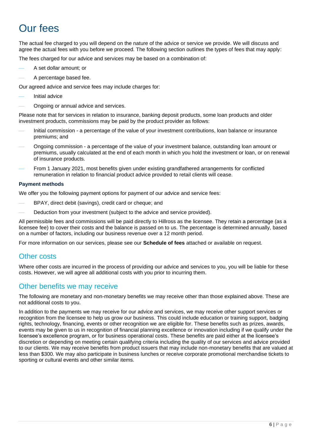# Our fees

The actual fee charged to you will depend on the nature of the advice or service we provide. We will discuss and agree the actual fees with you before we proceed. The following section outlines the types of fees that may apply:

The fees charged for our advice and services may be based on a combination of:

- ⎯ A set dollar amount; or
- A percentage based fee.

Our agreed advice and service fees may include charges for:

- Initial advice
- ⎯ Ongoing or annual advice and services.

Please note that for services in relation to insurance, banking deposit products, some loan products and older investment products, commissions may be paid by the product provider as follows:

- Initial commission a percentage of the value of your investment contributions, loan balance or insurance premiums; and
- ⎯ Ongoing commission a percentage of the value of your investment balance, outstanding loan amount or premiums, usually calculated at the end of each month in which you hold the investment or loan, or on renewal of insurance products.
- From 1 January 2021, most benefits given under existing grandfathered arrangements for conflicted remuneration in relation to financial product advice provided to retail clients will cease.

#### **Payment methods**

We offer you the following payment options for payment of our advice and service fees:

- BPAY, direct debit (savings), credit card or cheque; and
- Deduction from your investment (subject to the advice and service provided).

All permissible fees and commissions will be paid directly to Hillross as the licensee. They retain a percentage (as a licensee fee) to cover their costs and the balance is passed on to us. The percentage is determined annually, based on a number of factors, including our business revenue over a 12 month period.

For more information on our services, please see our **Schedule of fees** attached or available on request.

#### Other costs

Where other costs are incurred in the process of providing our advice and services to you, you will be liable for these costs. However, we will agree all additional costs with you prior to incurring them.

## Other benefits we may receive

The following are monetary and non-monetary benefits we may receive other than those explained above. These are not additional costs to you.

In addition to the payments we may receive for our advice and services, we may receive other support services or recognition from the licensee to help us grow our business. This could include education or training support, badging rights, technology, financing, events or other recognition we are eligible for. These benefits such as prizes, awards, events may be given to us in recognition of financial planning excellence or innovation including if we qualify under the licensee's excellence program, or for business operational costs. These benefits are paid either at the licensee's discretion or depending on meeting certain qualifying criteria including the quality of our services and advice provided to our clients. We may receive benefits from product issuers that may include non-monetary benefits that are valued at less than \$300. We may also participate in business lunches or receive corporate promotional merchandise tickets to sporting or cultural events and other similar items.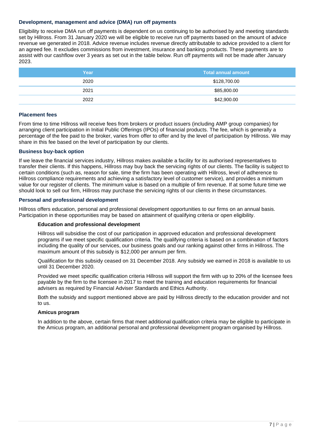#### **Development, management and advice (DMA) run off payments**

Eligibility to receive DMA run off payments is dependent on us continuing to be authorised by and meeting standards set by Hillross. From 31 January 2020 we will be eligible to receive run off payments based on the amount of advice revenue we generated in 2018. Advice revenue includes revenue directly attributable to advice provided to a client for an agreed fee. It excludes commissions from investment, insurance and banking products. These payments are to assist with our cashflow over 3 years as set out in the table below. Run off payments will not be made after January 2023.

| Year | Total annual amount |  |
|------|---------------------|--|
| 2020 | \$128,700.00        |  |
| 2021 | \$85,800.00         |  |
| 2022 | \$42,900.00         |  |

#### **Placement fees**

From time to time Hillross will receive fees from brokers or product issuers (including AMP group companies) for arranging client participation in Initial Public Offerings (IPOs) of financial products. The fee, which is generally a percentage of the fee paid to the broker, varies from offer to offer and by the level of participation by Hillross. We may share in this fee based on the level of participation by our clients.

#### **Business buy-back option**

If we leave the financial services industry, Hillross makes available a facility for its authorised representatives to transfer their clients. If this happens, Hillross may buy back the servicing rights of our clients. The facility is subject to certain conditions (such as, reason for sale, time the firm has been operating with Hillross, level of adherence to Hillross compliance requirements and achieving a satisfactory level of customer service), and provides a minimum value for our register of clients. The minimum value is based on a multiple of firm revenue. If at some future time we should look to sell our firm, Hillross may purchase the servicing rights of our clients in these circumstances.

#### **Personal and professional development**

Hillross offers education, personal and professional development opportunities to our firms on an annual basis. Participation in these opportunities may be based on attainment of qualifying criteria or open eligibility.

#### **Education and professional development**

Hillross will subsidise the cost of our participation in approved education and professional development programs if we meet specific qualification criteria. The qualifying criteria is based on a combination of factors including the quality of our services, our business goals and our ranking against other firms in Hillross. The maximum amount of this subsidy is \$12,000 per annum per firm.

Qualification for this subsidy ceased on 31 December 2018. Any subsidy we earned in 2018 is available to us until 31 December 2020.

Provided we meet specific qualification criteria Hillross will support the firm with up to 20% of the licensee fees payable by the firm to the licensee in 2017 to meet the training and education requirements for financial advisers as required by Financial Adviser Standards and Ethics Authority.

Both the subsidy and support mentioned above are paid by Hillross directly to the education provider and not to us.

#### **Amicus program**

In addition to the above, certain firms that meet additional qualification criteria may be eligible to participate in the Amicus program, an additional personal and professional development program organised by Hillross.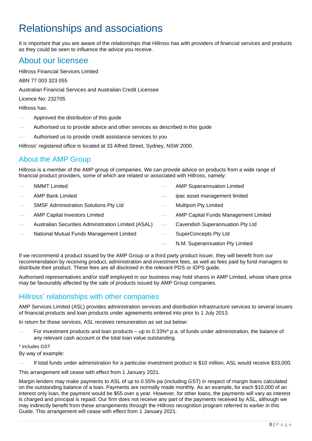# Relationships and associations

It is important that you are aware of the relationships that Hillross has with providers of financial services and products as they could be seen to influence the advice you receive.

## About our licensee

Hillross Financial Services Limited

ABN 77 003 323 055

Australian Financial Services and Australian Credit Licensee

Licence No: 232705

Hillross has:

- ⎯ Approved the distribution of this guide
- Authorised us to provide advice and other services as described in this guide
- Authorised us to provide credit assistance services to you

Hillross' registered office is located at 33 Alfred Street, Sydney, NSW 2000.

## About the AMP Group

Hillross is a member of the AMP group of companies. We can provide advice on products from a wide range of financial product providers, some of which are related or associated with Hillross, namely:

- **NMMT Limited**
- ⎯ AMP Bank Limited
- **SMSF Administration Solutions Pty Ltd**
- AMP Capital Investors Limited
- Australian Securities Administration Limited (ASAL)
- National Mutual Funds Management Limited
- AMP Superannuation Limited
- ipac asset management limited
- **Multiport Pty Limited** 
	- AMP Capital Funds Management Limited
	- Cavendish Superannuation Pty Ltd
		- SuperConcepts Pty Ltd
			- N.M. Superannuation Pty Limited

If we recommend a product issued by the AMP Group or a third party product issuer, they will benefit from our recommendation by receiving product, administration and investment fees, as well as fees paid by fund managers to distribute their product. These fees are all disclosed in the relevant PDS or IDPS guide.

Authorised representatives and/or staff employed in our business may hold shares in AMP Limited, whose share price may be favourably affected by the sale of products issued by AMP Group companies.

## Hillross' relationships with other companies

AMP Services Limited (ASL) provides administration services and distribution infrastructure services to several issuers of financial products and loan products under agreements entered into prior to 1 July 2013.

In return for those services, ASL receives remuneration as set out below:

For investment products and loan products – up to 0.33%\* p.a. of funds under administration, the balance of any relevant cash account or the total loan value outstanding.

#### \* includes GST

By way of example:

If total funds under administration for a particular investment product is \$10 million, ASL would receive \$33,000.

This arrangement will cease with effect from 1 January 2021.

Margin lenders may make payments to ASL of up to 0.55% pa (including GST) in respect of margin loans calculated on the outstanding balance of a loan. Payments are normally made monthly. As an example, for each \$10,000 of an interest only loan, the payment would be \$55 over a year. However, for other loans, the payments will vary as interest is charged and principal is repaid. Our firm does not receive any part of the payments received by ASL, although we may indirectly benefit from these arrangements through the Hillross recognition program referred to earlier in this Guide. This arrangement will cease with effect from 1 January 2021.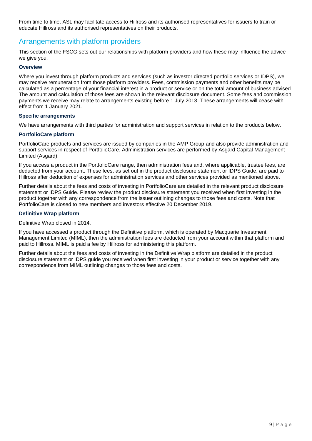From time to time, ASL may facilitate access to Hillross and its authorised representatives for issuers to train or educate Hillross and its authorised representatives on their products.

## Arrangements with platform providers

This section of the FSCG sets out our relationships with platform providers and how these may influence the advice we give you.

#### **Overview**

Where you invest through platform products and services (such as investor directed portfolio services or IDPS), we may receive remuneration from those platform providers. Fees, commission payments and other benefits may be calculated as a percentage of your financial interest in a product or service or on the total amount of business advised. The amount and calculation of those fees are shown in the relevant disclosure document. Some fees and commission payments we receive may relate to arrangements existing before 1 July 2013. These arrangements will cease with effect from 1 January 2021.

#### **Specific arrangements**

We have arrangements with third parties for administration and support services in relation to the products below.

#### **PortfolioCare platform**

PortfolioCare products and services are issued by companies in the AMP Group and also provide administration and support services in respect of PortfolioCare. Administration services are performed by Asgard Capital Management Limited (Asgard).

If you access a product in the PortfolioCare range, then administration fees and, where applicable, trustee fees, are deducted from your account. These fees, as set out in the product disclosure statement or IDPS Guide, are paid to Hillross after deduction of expenses for administration services and other services provided as mentioned above.

Further details about the fees and costs of investing in PortfolioCare are detailed in the relevant product disclosure statement or IDPS Guide. Please review the product disclosure statement you received when first investing in the product together with any correspondence from the issuer outlining changes to those fees and costs. Note that PortfolioCare is closed to new members and investors effective 20 December 2019.

#### **Definitive Wrap platform**

Definitive Wrap closed in 2014.

If you have accessed a product through the Definitive platform, which is operated by Macquarie Investment Management Limited (MIML), then the administration fees are deducted from your account within that platform and paid to Hillross. MIML is paid a fee by Hillross for administering this platform.

Further details about the fees and costs of investing in the Definitive Wrap platform are detailed in the product disclosure statement or IDPS guide you received when first investing in your product or service together with any correspondence from MIML outlining changes to those fees and costs.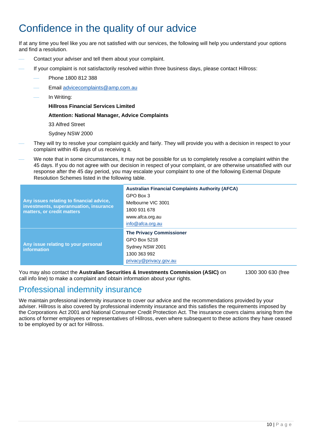# Confidence in the quality of our advice

If at any time you feel like you are not satisfied with our services, the following will help you understand your options and find a resolution.

- Contact your adviser and tell them about your complaint.
- If your complaint is not satisfactorily resolved within three business days, please contact Hillross:
	- ⎯ Phone 1800 812 388
	- Email [advicecomplaints@amp.com.au](mailto:advicecomplaints@amp.com.au)
	- In Writing:

**Hillross Financial Services Limited**

#### **Attention: National Manager, Advice Complaints**

33 Alfred Street

Sydney NSW 2000

- They will try to resolve your complaint quickly and fairly. They will provide you with a decision in respect to your complaint within 45 days of us receiving it.
- We note that in some circumstances, it may not be possible for us to completely resolve a complaint within the 45 days. If you do not agree with our decision in respect of your complaint, or are otherwise unsatisfied with our response after the 45 day period, you may escalate your complaint to one of the following External Dispute Resolution Schemes listed in the following table.

| Any issues relating to financial advice,<br>investments, superannuation, insurance<br>matters, or credit matters | <b>Australian Financial Complaints Authority (AFCA)</b><br>GPO Box 3<br>Melbourne VIC 3001<br>1800 931 678<br>www.afca.org.au<br>info@afca.org.au |
|------------------------------------------------------------------------------------------------------------------|---------------------------------------------------------------------------------------------------------------------------------------------------|
| Any issue relating to your personal<br>information                                                               | <b>The Privacy Commissioner</b><br>GPO Box 5218<br>Sydney NSW 2001<br>1300 363 992<br>privacy@privacy.gov.au                                      |

You may also contact the **Australian Securities & Investments Commission (ASIC)** on 1300 300 630 (free call info line) to make a complaint and obtain information about your rights.

## Professional indemnity insurance

We maintain professional indemnity insurance to cover our advice and the recommendations provided by your adviser. Hillross is also covered by professional indemnity insurance and this satisfies the requirements imposed by the Corporations Act 2001 and National Consumer Credit Protection Act. The insurance covers claims arising from the actions of former employees or representatives of Hillross, even where subsequent to these actions they have ceased to be employed by or act for Hillross.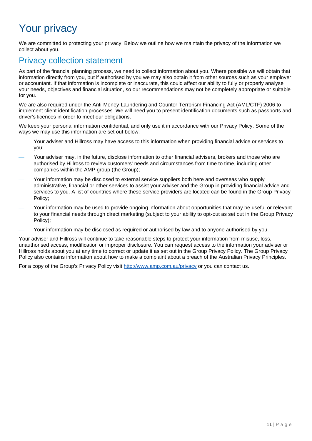# Your privacy

We are committed to protecting your privacy. Below we outline how we maintain the privacy of the information we collect about you.

## Privacy collection statement

As part of the financial planning process, we need to collect information about you. Where possible we will obtain that information directly from you, but if authorised by you we may also obtain it from other sources such as your employer or accountant. If that information is incomplete or inaccurate, this could affect our ability to fully or properly analyse your needs, objectives and financial situation, so our recommendations may not be completely appropriate or suitable for you.

We are also required under the Anti-Money-Laundering and Counter-Terrorism Financing Act (AML/CTF) 2006 to implement client identification processes. We will need you to present identification documents such as passports and driver's licences in order to meet our obligations.

We keep your personal information confidential, and only use it in accordance with our Privacy Policy. Some of the ways we may use this information are set out below:

- Your adviser and Hillross may have access to this information when providing financial advice or services to you;
- Your adviser may, in the future, disclose information to other financial advisers, brokers and those who are authorised by Hillross to review customers' needs and circumstances from time to time, including other companies within the AMP group (the Group);
- Your information may be disclosed to external service suppliers both here and overseas who supply administrative, financial or other services to assist your adviser and the Group in providing financial advice and services to you. A list of countries where these service providers are located can be found in the Group Privacy Policy;
- Your information may be used to provide ongoing information about opportunities that may be useful or relevant to your financial needs through direct marketing (subject to your ability to opt-out as set out in the Group Privacy Policy);
- Your information may be disclosed as required or authorised by law and to anyone authorised by you.

Your adviser and Hillross will continue to take reasonable steps to protect your information from misuse, loss, unauthorised access, modification or improper disclosure. You can request access to the information your adviser or Hillross holds about you at any time to correct or update it as set out in the Group Privacy Policy. The Group Privacy Policy also contains information about how to make a complaint about a breach of the Australian Privacy Principles.

For a copy of the Group's Privacy Policy visit<http://www.amp.com.au/privacy> or you can contact us.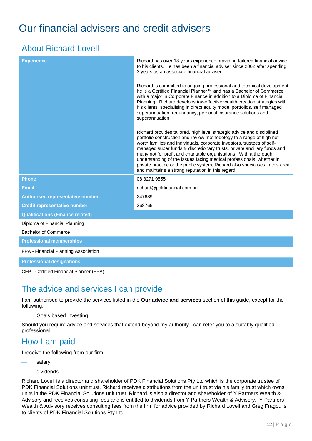# <span id="page-11-0"></span>Our financial advisers and credit advisers

## About Richard Lovell

| Richard has over 18 years experience providing tailored financial advice<br>to his clients. He has been a financial adviser since 2002 after spending<br>3 years as an associate financial adviser.                                                                                                                                                                                                                                                                                                                                                                                   |
|---------------------------------------------------------------------------------------------------------------------------------------------------------------------------------------------------------------------------------------------------------------------------------------------------------------------------------------------------------------------------------------------------------------------------------------------------------------------------------------------------------------------------------------------------------------------------------------|
| Richard is committed to ongoing professional and technical development,<br>he is a Certified Financial Planner™ and has a Bachelor of Commerce<br>with a major in Corporate Finance in addition to a Diploma of Financial<br>Planning. Richard develops tax-effective wealth creation strategies with<br>his clients, specialising in direct equity model portfolios, self managed<br>superannuation, redundancy, personal insurance solutions and<br>superannuation.                                                                                                                 |
| Richard provides tailored, high level strategic advice and disciplined<br>portfolio construction and review methodology to a range of high net<br>worth families and individuals, corporate investors, trustees of self-<br>managed super funds & discretionary trusts, private ancillary funds and<br>many not for profit and charitable organisations. With a thorough<br>understanding of the issues facing medical professionals, whether in<br>private practice or the public system, Richard also specialises in this area<br>and maintains a strong reputation in this regard. |
| 08 8271 9555                                                                                                                                                                                                                                                                                                                                                                                                                                                                                                                                                                          |
| richard@pdkfinancial.com.au                                                                                                                                                                                                                                                                                                                                                                                                                                                                                                                                                           |
| 247689                                                                                                                                                                                                                                                                                                                                                                                                                                                                                                                                                                                |
| 368765                                                                                                                                                                                                                                                                                                                                                                                                                                                                                                                                                                                |
|                                                                                                                                                                                                                                                                                                                                                                                                                                                                                                                                                                                       |
|                                                                                                                                                                                                                                                                                                                                                                                                                                                                                                                                                                                       |
|                                                                                                                                                                                                                                                                                                                                                                                                                                                                                                                                                                                       |
|                                                                                                                                                                                                                                                                                                                                                                                                                                                                                                                                                                                       |
|                                                                                                                                                                                                                                                                                                                                                                                                                                                                                                                                                                                       |
|                                                                                                                                                                                                                                                                                                                                                                                                                                                                                                                                                                                       |
|                                                                                                                                                                                                                                                                                                                                                                                                                                                                                                                                                                                       |

CFP - Certified Financial Planner (FPA)

## The advice and services I can provide

I am authorised to provide the services listed in the **Our advice and services** section of this guide, except for the following:

Goals based investing

Should you require advice and services that extend beyond my authority I can refer you to a suitably qualified professional.

## How I am paid

I receive the following from our firm:

- salary
- dividends

Richard Lovell is a director and shareholder of PDK Financial Solutions Pty Ltd which is the corporate trustee of PDK Financial Solutions unit trust. Richard receives distributions from the unit trust via his family trust which owns units in the PDK Financial Solutions unit trust. Richard is also a director and shareholder of Y Partners Wealth & Advisory and receives consulting fees and is entitled to dividends from Y Partners Wealth & Advisory. Y Partners Wealth & Advisory receives consulting fees from the firm for advice provided by Richard Lovell and Greg Fragoulis to clients of PDK Financial Solutions Pty Ltd.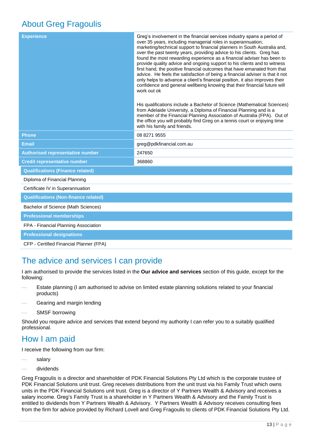## About Greg Fragoulis

| <b>Experience</b>                              | Greg's involvement in the financial services industry spans a period of<br>over 35 years, including managerial roles in superannuation,<br>marketing/technical support to financial planners in South Australia and,<br>over the past twenty years, providing advice to his clients. Greg has<br>found the most rewarding experience as a financial adviser has been to<br>provide quality advice and ongoing support to his clients and to witness<br>first hand, the positive financial outcomes that have emanated from that<br>advice. He feels the satisfaction of being a financial adviser is that it not<br>only helps to advance a client's financial position, it also improves their<br>confidence and general wellbeing knowing that their financial future will<br>work out ok<br>His qualifications include a Bachelor of Science (Mathematical Sciences)<br>from Adelaide University, a Diploma of Financial Planning and is a<br>member of the Financial Planning Association of Australia (FPA). Out of<br>the office you will probably find Greg on a tennis court or enjoying time<br>with his family and friends. |
|------------------------------------------------|---------------------------------------------------------------------------------------------------------------------------------------------------------------------------------------------------------------------------------------------------------------------------------------------------------------------------------------------------------------------------------------------------------------------------------------------------------------------------------------------------------------------------------------------------------------------------------------------------------------------------------------------------------------------------------------------------------------------------------------------------------------------------------------------------------------------------------------------------------------------------------------------------------------------------------------------------------------------------------------------------------------------------------------------------------------------------------------------------------------------------------------|
| <b>Phone</b>                                   | 08 8271 9555                                                                                                                                                                                                                                                                                                                                                                                                                                                                                                                                                                                                                                                                                                                                                                                                                                                                                                                                                                                                                                                                                                                          |
| <b>Email</b>                                   | greg@pdkfinancial.com.au                                                                                                                                                                                                                                                                                                                                                                                                                                                                                                                                                                                                                                                                                                                                                                                                                                                                                                                                                                                                                                                                                                              |
| <b>Authorised representative number</b>        | 247650                                                                                                                                                                                                                                                                                                                                                                                                                                                                                                                                                                                                                                                                                                                                                                                                                                                                                                                                                                                                                                                                                                                                |
| <b>Credit representative number</b>            | 368860                                                                                                                                                                                                                                                                                                                                                                                                                                                                                                                                                                                                                                                                                                                                                                                                                                                                                                                                                                                                                                                                                                                                |
| <b>Qualifications (Finance related)</b>        |                                                                                                                                                                                                                                                                                                                                                                                                                                                                                                                                                                                                                                                                                                                                                                                                                                                                                                                                                                                                                                                                                                                                       |
| Diploma of Financial Planning                  |                                                                                                                                                                                                                                                                                                                                                                                                                                                                                                                                                                                                                                                                                                                                                                                                                                                                                                                                                                                                                                                                                                                                       |
| Certificate IV in Superannuation               |                                                                                                                                                                                                                                                                                                                                                                                                                                                                                                                                                                                                                                                                                                                                                                                                                                                                                                                                                                                                                                                                                                                                       |
| <b>Qualifications (Non-finance related)</b>    |                                                                                                                                                                                                                                                                                                                                                                                                                                                                                                                                                                                                                                                                                                                                                                                                                                                                                                                                                                                                                                                                                                                                       |
| Bachelor of Science (Math Sciences)            |                                                                                                                                                                                                                                                                                                                                                                                                                                                                                                                                                                                                                                                                                                                                                                                                                                                                                                                                                                                                                                                                                                                                       |
| <b>Professional memberships</b>                |                                                                                                                                                                                                                                                                                                                                                                                                                                                                                                                                                                                                                                                                                                                                                                                                                                                                                                                                                                                                                                                                                                                                       |
| FPA - Financial Planning Association           |                                                                                                                                                                                                                                                                                                                                                                                                                                                                                                                                                                                                                                                                                                                                                                                                                                                                                                                                                                                                                                                                                                                                       |
| <b>Professional designations</b>               |                                                                                                                                                                                                                                                                                                                                                                                                                                                                                                                                                                                                                                                                                                                                                                                                                                                                                                                                                                                                                                                                                                                                       |
| <b>CFP - Certified Financial Planner (FPA)</b> |                                                                                                                                                                                                                                                                                                                                                                                                                                                                                                                                                                                                                                                                                                                                                                                                                                                                                                                                                                                                                                                                                                                                       |

## The advice and services I can provide

I am authorised to provide the services listed in the **Our advice and services** section of this guide, except for the following:

- Estate planning (I am authorised to advise on limited estate planning solutions related to your financial products)
- Gearing and margin lending
- SMSF borrowing

Should you require advice and services that extend beyond my authority I can refer you to a suitably qualified professional.

## How I am paid

I receive the following from our firm:

- salary
- dividends

Greg Fragoulis is a director and shareholder of PDK Financial Solutions Pty Ltd which is the corporate trustee of PDK Financial Solutions unit trust. Greg receives distributions from the unit trust via his Family Trust which owns units in the PDK Financial Solutions unit trust. Greg is a director of Y Partners Wealth & Advisory and receives a salary income. Greg's Family Trust is a shareholder in Y Partners Wealth & Advisory and the Family Trust is entitled to dividends from Y Partners Wealth & Advisory. Y Partners Wealth & Advisory receives consulting fees from the firm for advice provided by Richard Lovell and Greg Fragoulis to clients of PDK Financial Solutions Pty Ltd.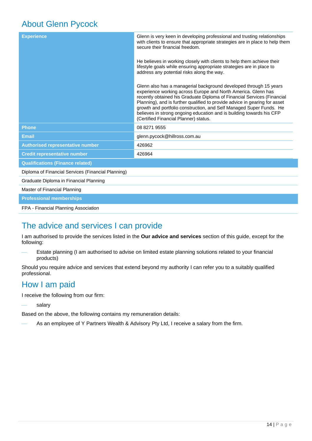## About Glenn Pycock

| <b>Experience</b>                                  | Glenn is very keen in developing professional and trusting relationships<br>with clients to ensure that appropriate strategies are in place to help them<br>secure their financial freedom.                                                                                                                                                                                                                                                                                         |
|----------------------------------------------------|-------------------------------------------------------------------------------------------------------------------------------------------------------------------------------------------------------------------------------------------------------------------------------------------------------------------------------------------------------------------------------------------------------------------------------------------------------------------------------------|
|                                                    | He believes in working closely with clients to help them achieve their<br>lifestyle goals while ensuring appropriate strategies are in place to<br>address any potential risks along the way.                                                                                                                                                                                                                                                                                       |
|                                                    | Glenn also has a managerial background developed through 15 years<br>experience working across Europe and North America. Glenn has<br>recently obtained his Graduate Diploma of Financial Services (Financial<br>Planning), and is further qualified to provide advice in gearing for asset<br>growth and portfolio construction, and Self Managed Super Funds. He<br>believes in strong ongoing education and is building towards his CFP<br>(Certified Financial Planner) status. |
| <b>Phone</b>                                       | 08 8271 9555                                                                                                                                                                                                                                                                                                                                                                                                                                                                        |
| <b>Email</b>                                       | glenn.pycock@hillross.com.au                                                                                                                                                                                                                                                                                                                                                                                                                                                        |
| Authorised representative number                   | 426962                                                                                                                                                                                                                                                                                                                                                                                                                                                                              |
| <b>Credit representative number</b>                | 426964                                                                                                                                                                                                                                                                                                                                                                                                                                                                              |
| <b>Qualifications (Finance related)</b>            |                                                                                                                                                                                                                                                                                                                                                                                                                                                                                     |
| Diploma of Financial Services (Financial Planning) |                                                                                                                                                                                                                                                                                                                                                                                                                                                                                     |
| Graduate Diploma in Financial Planning             |                                                                                                                                                                                                                                                                                                                                                                                                                                                                                     |
| Master of Financial Planning                       |                                                                                                                                                                                                                                                                                                                                                                                                                                                                                     |
| <b>Professional memberships</b>                    |                                                                                                                                                                                                                                                                                                                                                                                                                                                                                     |

FPA - Financial Planning Association

## The advice and services I can provide

I am authorised to provide the services listed in the **Our advice and services** section of this guide, except for the following:

Estate planning (I am authorised to advise on limited estate planning solutions related to your financial products)

Should you require advice and services that extend beyond my authority I can refer you to a suitably qualified professional.

## How I am paid

I receive the following from our firm:

salary

Based on the above, the following contains my remuneration details:

As an employee of Y Partners Wealth & Advisory Pty Ltd, I receive a salary from the firm.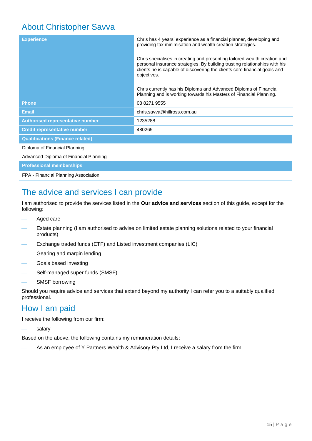## About Christopher Savva

| <b>Experience</b>                       | Chris has 4 years' experience as a financial planner, developing and<br>providing tax minimisation and wealth creation strategies.                                                                                                                  |
|-----------------------------------------|-----------------------------------------------------------------------------------------------------------------------------------------------------------------------------------------------------------------------------------------------------|
|                                         | Chris specialises in creating and presenting tailored wealth creation and<br>personal insurance strategies. By building trusting relationships with his<br>clients he is capable of discovering the clients core financial goals and<br>objectives. |
|                                         | Chris currently has his Diploma and Advanced Diploma of Financial<br>Planning and is working towards his Masters of Financial Planning.                                                                                                             |
| <b>Phone</b>                            | 08 8271 9555                                                                                                                                                                                                                                        |
| <b>Email</b>                            | chris.sayya@hillross.com.au                                                                                                                                                                                                                         |
| <b>Authorised representative number</b> | 1235288                                                                                                                                                                                                                                             |
| <b>Credit representative number</b>     | 480265                                                                                                                                                                                                                                              |
| <b>Qualifications (Finance related)</b> |                                                                                                                                                                                                                                                     |
| Diploma of Financial Planning           |                                                                                                                                                                                                                                                     |
| Advanced Diploma of Financial Planning  |                                                                                                                                                                                                                                                     |
| <b>Professional memberships</b>         |                                                                                                                                                                                                                                                     |
| FPA - Financial Planning Association    |                                                                                                                                                                                                                                                     |

## The advice and services I can provide

I am authorised to provide the services listed in the **Our advice and services** section of this guide, except for the following:

- Aged care
- Estate planning (I am authorised to advise on limited estate planning solutions related to your financial products)
- Exchange traded funds (ETF) and Listed investment companies (LIC)
- Gearing and margin lending
- Goals based investing
- Self-managed super funds (SMSF)
- SMSF borrowing

Should you require advice and services that extend beyond my authority I can refer you to a suitably qualified professional.

## How I am paid

I receive the following from our firm:

salary

Based on the above, the following contains my remuneration details:

As an employee of Y Partners Wealth & Advisory Pty Ltd, I receive a salary from the firm